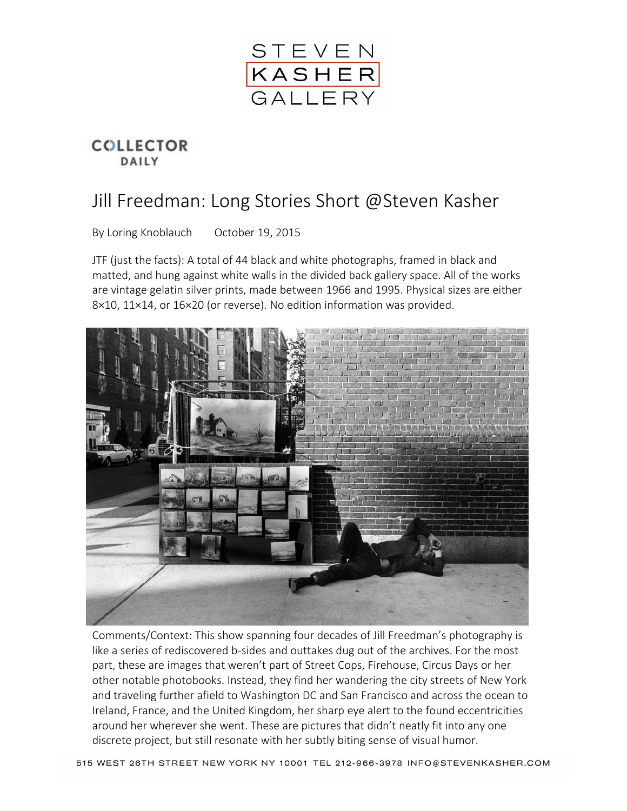

## **COLLECTOR** DAILY

## Jill Freedman: Long Stories Short @Steven Kasher

By Loring Knoblauch October 19, 2015

JTF (just the facts): A total of 44 black and white photographs, framed in black and matted, and hung against white walls in the divided back gallery space. All of the works are vintage gelatin silver prints, made between 1966 and 1995. Physical sizes are either 8×10, 11×14, or 16×20 (or reverse). No edition information was provided.



Comments/Context: This show spanning four decades of Jill Freedman's photography is like a series of rediscovered b-sides and outtakes dug out of the archives. For the most part, these are images that weren't part of Street Cops, Firehouse, Circus Days or her other notable photobooks. Instead, they find her wandering the city streets of New York and traveling further afield to Washington DC and San Francisco and across the ocean to Ireland, France, and the United Kingdom, her sharp eye alert to the found eccentricities around her wherever she went. These are pictures that didn't neatly fit into any one discrete project, but still resonate with her subtly biting sense of visual humor.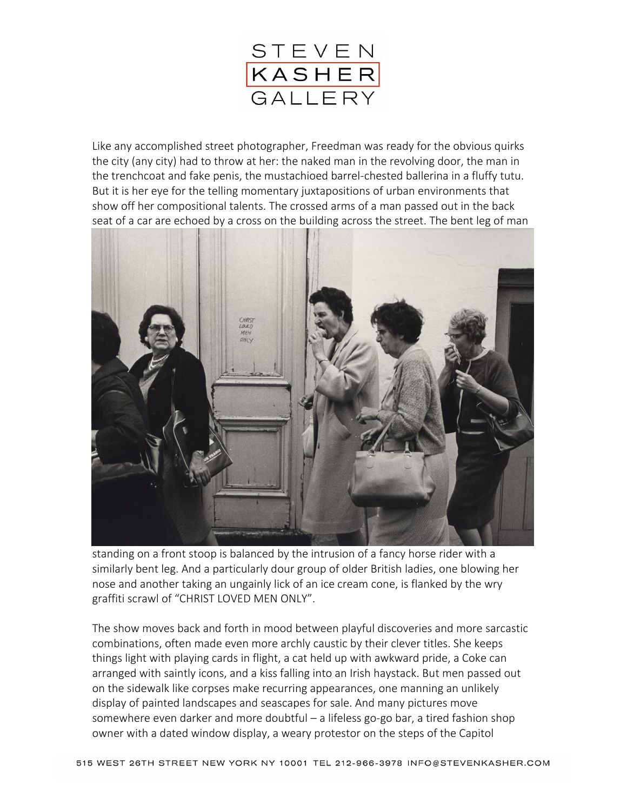

Like any accomplished street photographer, Freedman was ready for the obvious quirks the city (any city) had to throw at her: the naked man in the revolving door, the man in the trenchcoat and fake penis, the mustachioed barrel-chested ballerina in a fluffy tutu. But it is her eye for the telling momentary juxtapositions of urban environments that show off her compositional talents. The crossed arms of a man passed out in the back seat of a car are echoed by a cross on the building across the street. The bent leg of man



standing on a front stoop is balanced by the intrusion of a fancy horse rider with a similarly bent leg. And a particularly dour group of older British ladies, one blowing her nose and another taking an ungainly lick of an ice cream cone, is flanked by the wry graffiti scrawl of "CHRIST LOVED MEN ONLY".

The show moves back and forth in mood between playful discoveries and more sarcastic combinations, often made even more archly caustic by their clever titles. She keeps things light with playing cards in flight, a cat held up with awkward pride, a Coke can arranged with saintly icons, and a kiss falling into an Irish haystack. But men passed out on the sidewalk like corpses make recurring appearances, one manning an unlikely display of painted landscapes and seascapes for sale. And many pictures move somewhere even darker and more doubtful – a lifeless go-go bar, a tired fashion shop owner with a dated window display, a weary protestor on the steps of the Capitol